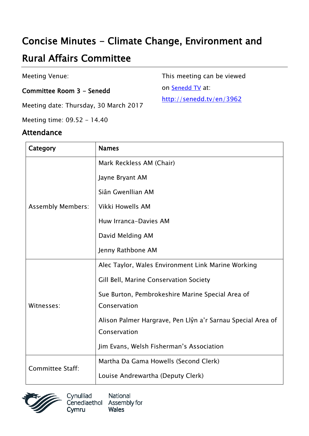## Concise Minutes - Climate Change, Environment and

# Rural Affairs Committee

Meeting Venue:

#### Committee Room 3 - Senedd

Meeting date: Thursday, 30 March 2017

Meeting time: 09.52 - 14.40

#### Attendance

This meeting can be viewed

on [Senedd TV](http://senedd.tv/) at:

http://senedd.tv/en/3962

| Category                 | <b>Names</b>                                                |
|--------------------------|-------------------------------------------------------------|
| <b>Assembly Members:</b> | Mark Reckless AM (Chair)                                    |
|                          | Jayne Bryant AM                                             |
|                          | Siân Gwenllian AM                                           |
|                          | <b>Vikki Howells AM</b>                                     |
|                          | Huw Irranca-Davies AM                                       |
|                          | David Melding AM                                            |
|                          | Jenny Rathbone AM                                           |
| Witnesses:               | Alec Taylor, Wales Environment Link Marine Working          |
|                          | Gill Bell, Marine Conservation Society                      |
|                          | Sue Burton, Pembrokeshire Marine Special Area of            |
|                          | Conservation                                                |
|                          | Alison Palmer Hargrave, Pen Llŷn a'r Sarnau Special Area of |
|                          | Conservation                                                |
|                          | Jim Evans, Welsh Fisherman's Association                    |
| <b>Committee Staff:</b>  | Martha Da Gama Howells (Second Clerk)                       |
|                          | Louise Andrewartha (Deputy Clerk)                           |



Cynulliad National Cenedlaethol Assembly for **Wales** Cymru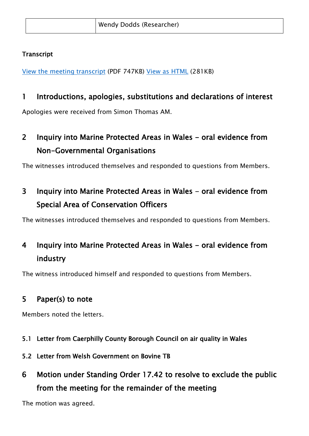#### **Transcript**

[View the meeting transcript](http://senedd.assembly.wales/documents/s500003657/30%20Mawrth%202017.pdf) (PDF 747KB) View [as HTML](http://senedd.assembly.wales/documents/s500003657/30%20Mawrth%202017.html?CT=2) (281KB)

#### 1 Introductions, apologies, substitutions and declarations of interest

Apologies were received from Simon Thomas AM.

## 2 Inquiry into Marine Protected Areas in Wales - oral evidence from Non-Governmental Organisations

The witnesses introduced themselves and responded to questions from Members.

### 3 Inquiry into Marine Protected Areas in Wales - oral evidence from Special Area of Conservation Officers

The witnesses introduced themselves and responded to questions from Members.

## 4 Inquiry into Marine Protected Areas in Wales - oral evidence from industry

The witness introduced himself and responded to questions from Members.

#### 5 Paper(s) to note

Members noted the letters.

- 5.1 Letter from Caerphilly County Borough Council on air quality in Wales
- 5.2 Letter from Welsh Government on Bovine TB
- 6 Motion under Standing Order 17.42 to resolve to exclude the public from the meeting for the remainder of the meeting

The motion was agreed.